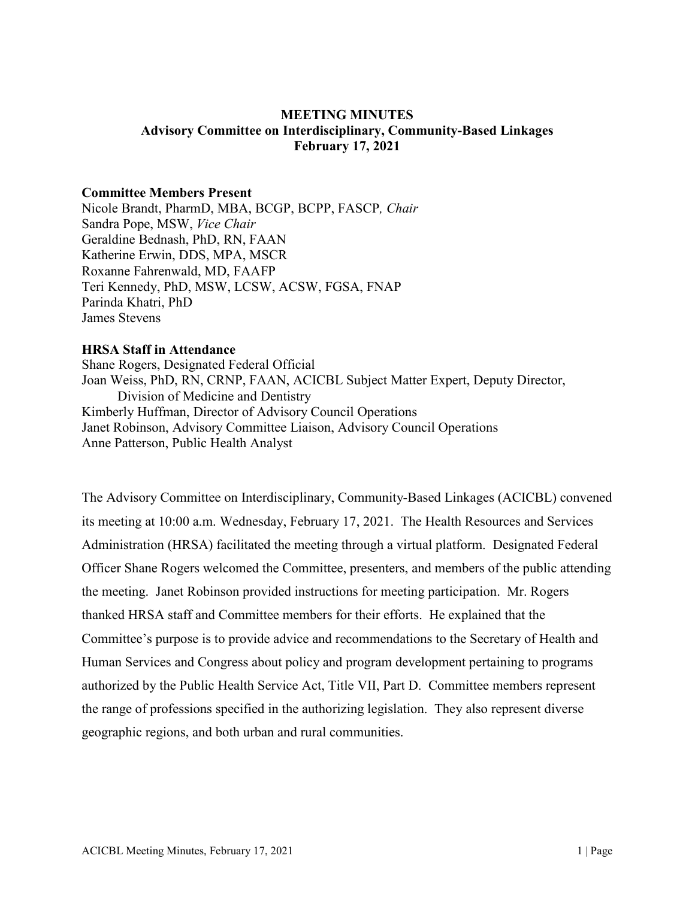### **MEETING MINUTES Advisory Committee on Interdisciplinary, Community-Based Linkages February 17, 2021**

#### **Committee Members Present**

Nicole Brandt, PharmD, MBA, BCGP, BCPP, FASCP*, Chair* Sandra Pope, MSW, *Vice Chair* Geraldine Bednash, PhD, RN, FAAN Katherine Erwin, DDS, MPA, MSCR Roxanne Fahrenwald, MD, FAAFP Teri Kennedy, PhD, MSW, LCSW, ACSW, FGSA, FNAP Parinda Khatri, PhD James Stevens

#### **HRSA Staff in Attendance**

Shane Rogers, Designated Federal Official Joan Weiss, PhD, RN, CRNP, FAAN, ACICBL Subject Matter Expert, Deputy Director, Division of Medicine and Dentistry Kimberly Huffman, Director of Advisory Council Operations Janet Robinson, Advisory Committee Liaison, Advisory Council Operations Anne Patterson, Public Health Analyst

The Advisory Committee on Interdisciplinary, Community-Based Linkages (ACICBL) convened its meeting at 10:00 a.m. Wednesday, February 17, 2021. The Health Resources and Services Administration (HRSA) facilitated the meeting through a virtual platform. Designated Federal Officer Shane Rogers welcomed the Committee, presenters, and members of the public attending the meeting. Janet Robinson provided instructions for meeting participation. Mr. Rogers thanked HRSA staff and Committee members for their efforts. He explained that the Committee's purpose is to provide advice and recommendations to the Secretary of Health and Human Services and Congress about policy and program development pertaining to programs authorized by the Public Health Service Act, Title VII, Part D. Committee members represent the range of professions specified in the authorizing legislation. They also represent diverse geographic regions, and both urban and rural communities.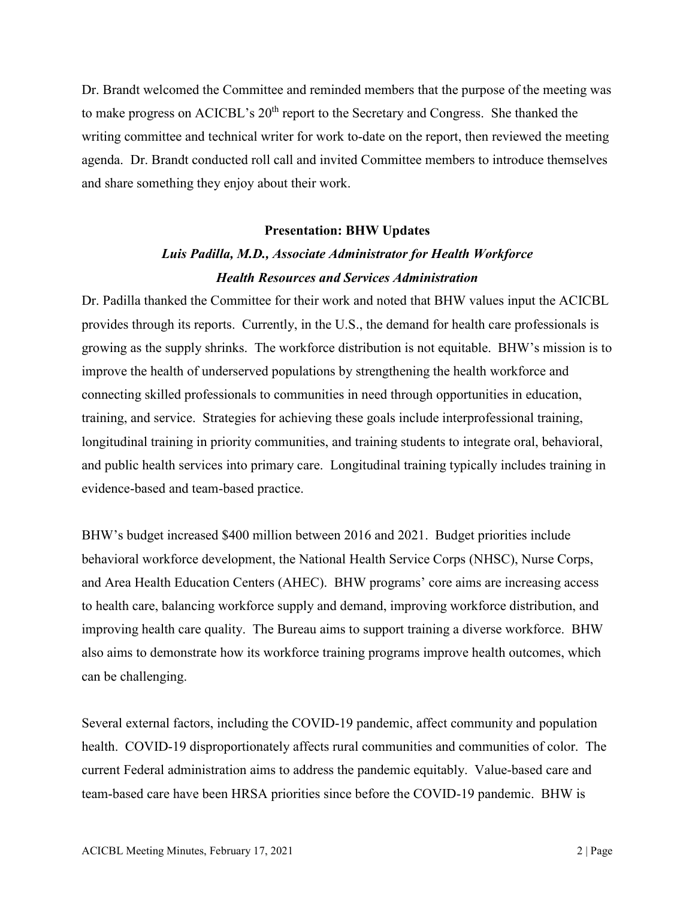Dr. Brandt welcomed the Committee and reminded members that the purpose of the meeting was to make progress on ACICBL's 20<sup>th</sup> report to the Secretary and Congress. She thanked the writing committee and technical writer for work to-date on the report, then reviewed the meeting agenda. Dr. Brandt conducted roll call and invited Committee members to introduce themselves and share something they enjoy about their work.

#### **Presentation: BHW Updates**

## *Luis Padilla, M.D., Associate Administrator for Health Workforce Health Resources and Services Administration*

Dr. Padilla thanked the Committee for their work and noted that BHW values input the ACICBL provides through its reports. Currently, in the U.S., the demand for health care professionals is growing as the supply shrinks. The workforce distribution is not equitable. BHW's mission is to improve the health of underserved populations by strengthening the health workforce and connecting skilled professionals to communities in need through opportunities in education, training, and service. Strategies for achieving these goals include interprofessional training, longitudinal training in priority communities, and training students to integrate oral, behavioral, and public health services into primary care. Longitudinal training typically includes training in evidence-based and team-based practice.

BHW's budget increased \$400 million between 2016 and 2021. Budget priorities include behavioral workforce development, the National Health Service Corps (NHSC), Nurse Corps, and Area Health Education Centers (AHEC). BHW programs' core aims are increasing access to health care, balancing workforce supply and demand, improving workforce distribution, and improving health care quality. The Bureau aims to support training a diverse workforce. BHW also aims to demonstrate how its workforce training programs improve health outcomes, which can be challenging.

Several external factors, including the COVID-19 pandemic, affect community and population health. COVID-19 disproportionately affects rural communities and communities of color. The current Federal administration aims to address the pandemic equitably. Value-based care and team-based care have been HRSA priorities since before the COVID-19 pandemic. BHW is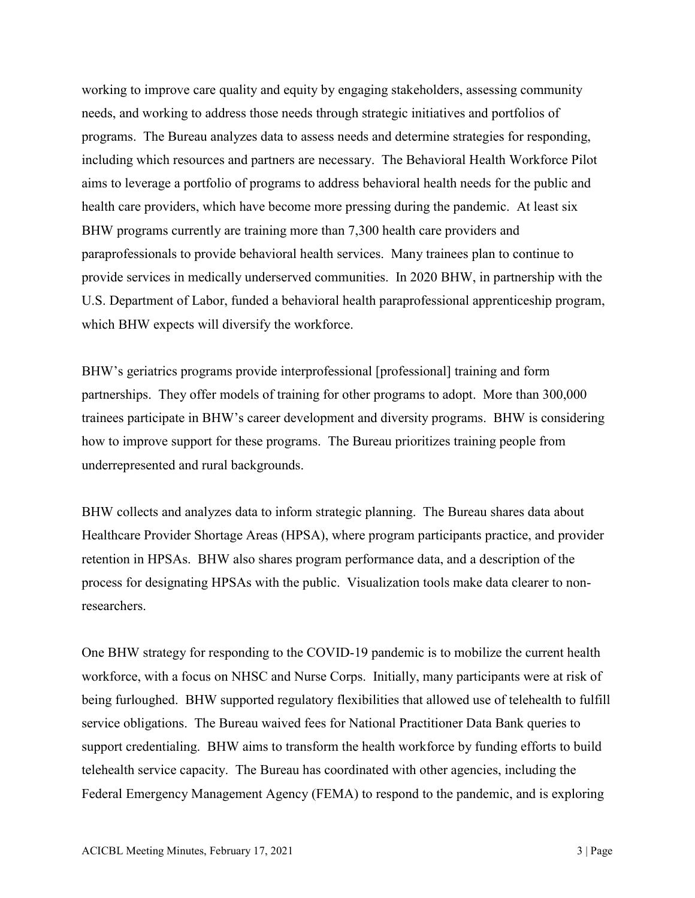working to improve care quality and equity by engaging stakeholders, assessing community needs, and working to address those needs through strategic initiatives and portfolios of programs. The Bureau analyzes data to assess needs and determine strategies for responding, including which resources and partners are necessary. The Behavioral Health Workforce Pilot aims to leverage a portfolio of programs to address behavioral health needs for the public and health care providers, which have become more pressing during the pandemic. At least six BHW programs currently are training more than 7,300 health care providers and paraprofessionals to provide behavioral health services. Many trainees plan to continue to provide services in medically underserved communities. In 2020 BHW, in partnership with the U.S. Department of Labor, funded a behavioral health paraprofessional apprenticeship program, which BHW expects will diversify the workforce.

BHW's geriatrics programs provide interprofessional [professional] training and form partnerships. They offer models of training for other programs to adopt. More than 300,000 trainees participate in BHW's career development and diversity programs. BHW is considering how to improve support for these programs. The Bureau prioritizes training people from underrepresented and rural backgrounds.

BHW collects and analyzes data to inform strategic planning. The Bureau shares data about Healthcare Provider Shortage Areas (HPSA), where program participants practice, and provider retention in HPSAs. BHW also shares program performance data, and a description of the process for designating HPSAs with the public. Visualization tools make data clearer to nonresearchers.

One BHW strategy for responding to the COVID-19 pandemic is to mobilize the current health workforce, with a focus on NHSC and Nurse Corps. Initially, many participants were at risk of being furloughed. BHW supported regulatory flexibilities that allowed use of telehealth to fulfill service obligations. The Bureau waived fees for National Practitioner Data Bank queries to support credentialing. BHW aims to transform the health workforce by funding efforts to build telehealth service capacity. The Bureau has coordinated with other agencies, including the Federal Emergency Management Agency (FEMA) to respond to the pandemic, and is exploring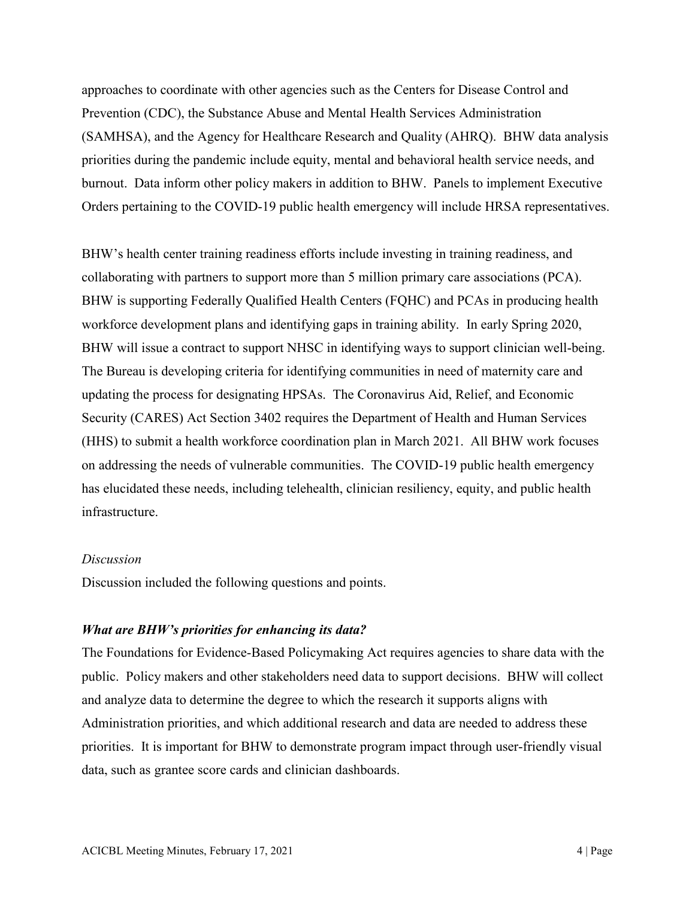approaches to coordinate with other agencies such as the Centers for Disease Control and Prevention (CDC), the Substance Abuse and Mental Health Services Administration (SAMHSA), and the Agency for Healthcare Research and Quality (AHRQ). BHW data analysis priorities during the pandemic include equity, mental and behavioral health service needs, and burnout. Data inform other policy makers in addition to BHW. Panels to implement Executive Orders pertaining to the COVID-19 public health emergency will include HRSA representatives.

BHW's health center training readiness efforts include investing in training readiness, and collaborating with partners to support more than 5 million primary care associations (PCA). BHW is supporting Federally Qualified Health Centers (FQHC) and PCAs in producing health workforce development plans and identifying gaps in training ability. In early Spring 2020, BHW will issue a contract to support NHSC in identifying ways to support clinician well-being. The Bureau is developing criteria for identifying communities in need of maternity care and updating the process for designating HPSAs. The Coronavirus Aid, Relief, and Economic Security (CARES) Act Section 3402 requires the Department of Health and Human Services (HHS) to submit a health workforce coordination plan in March 2021. All BHW work focuses on addressing the needs of vulnerable communities. The COVID-19 public health emergency has elucidated these needs, including telehealth, clinician resiliency, equity, and public health infrastructure.

#### *Discussion*

Discussion included the following questions and points.

#### *What are BHW's priorities for enhancing its data?*

The Foundations for Evidence-Based Policymaking Act requires agencies to share data with the public. Policy makers and other stakeholders need data to support decisions. BHW will collect and analyze data to determine the degree to which the research it supports aligns with Administration priorities, and which additional research and data are needed to address these priorities. It is important for BHW to demonstrate program impact through user-friendly visual data, such as grantee score cards and clinician dashboards.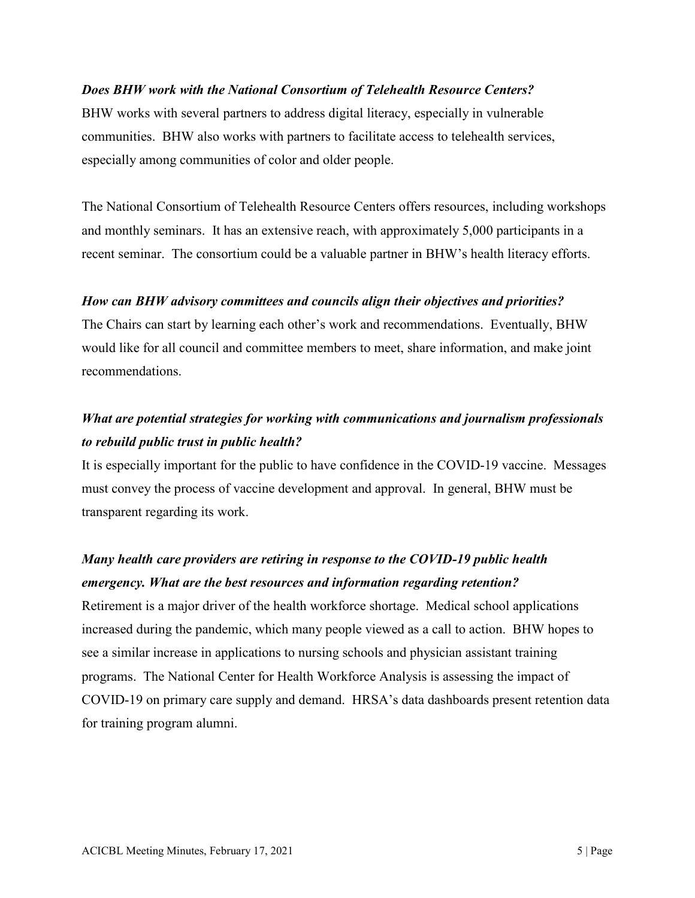#### *Does BHW work with the National Consortium of Telehealth Resource Centers?*

BHW works with several partners to address digital literacy, especially in vulnerable communities. BHW also works with partners to facilitate access to telehealth services, especially among communities of color and older people.

The National Consortium of Telehealth Resource Centers offers resources, including workshops and monthly seminars. It has an extensive reach, with approximately 5,000 participants in a recent seminar. The consortium could be a valuable partner in BHW's health literacy efforts.

#### *How can BHW advisory committees and councils align their objectives and priorities?*

The Chairs can start by learning each other's work and recommendations. Eventually, BHW would like for all council and committee members to meet, share information, and make joint recommendations.

# *What are potential strategies for working with communications and journalism professionals to rebuild public trust in public health?*

It is especially important for the public to have confidence in the COVID-19 vaccine. Messages must convey the process of vaccine development and approval. In general, BHW must be transparent regarding its work.

# *Many health care providers are retiring in response to the COVID-19 public health emergency. What are the best resources and information regarding retention?*

Retirement is a major driver of the health workforce shortage. Medical school applications increased during the pandemic, which many people viewed as a call to action. BHW hopes to see a similar increase in applications to nursing schools and physician assistant training programs. The National Center for Health Workforce Analysis is assessing the impact of COVID-19 on primary care supply and demand. HRSA's data dashboards present retention data for training program alumni.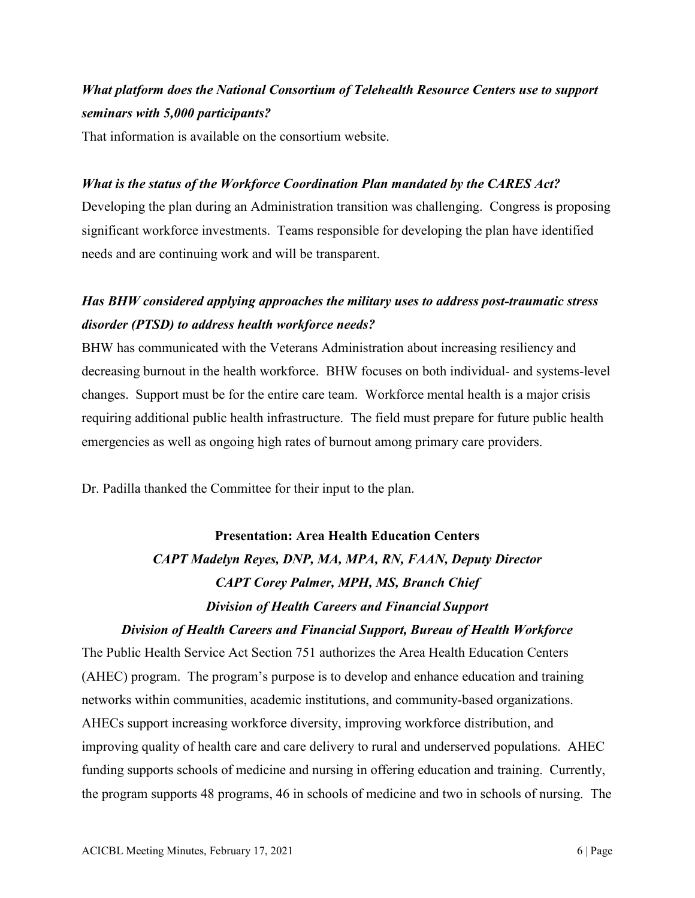# *What platform does the National Consortium of Telehealth Resource Centers use to support seminars with 5,000 participants?*

That information is available on the consortium website.

### *What is the status of the Workforce Coordination Plan mandated by the CARES Act?*

Developing the plan during an Administration transition was challenging. Congress is proposing significant workforce investments. Teams responsible for developing the plan have identified needs and are continuing work and will be transparent.

# *Has BHW considered applying approaches the military uses to address post-traumatic stress disorder (PTSD) to address health workforce needs?*

BHW has communicated with the Veterans Administration about increasing resiliency and decreasing burnout in the health workforce. BHW focuses on both individual- and systems-level changes. Support must be for the entire care team. Workforce mental health is a major crisis requiring additional public health infrastructure. The field must prepare for future public health emergencies as well as ongoing high rates of burnout among primary care providers.

Dr. Padilla thanked the Committee for their input to the plan.

# **Presentation: Area Health Education Centers** *CAPT Madelyn Reyes, DNP, MA, MPA, RN, FAAN, Deputy Director CAPT Corey Palmer, MPH, MS, Branch Chief Division of Health Careers and Financial Support*

#### *Division of Health Careers and Financial Support, Bureau of Health Workforce*

The Public Health Service Act Section 751 authorizes the Area Health Education Centers (AHEC) program. The program's purpose is to develop and enhance education and training networks within communities, academic institutions, and community-based organizations. AHECs support increasing workforce diversity, improving workforce distribution, and improving quality of health care and care delivery to rural and underserved populations. AHEC funding supports schools of medicine and nursing in offering education and training. Currently, the program supports 48 programs, 46 in schools of medicine and two in schools of nursing. The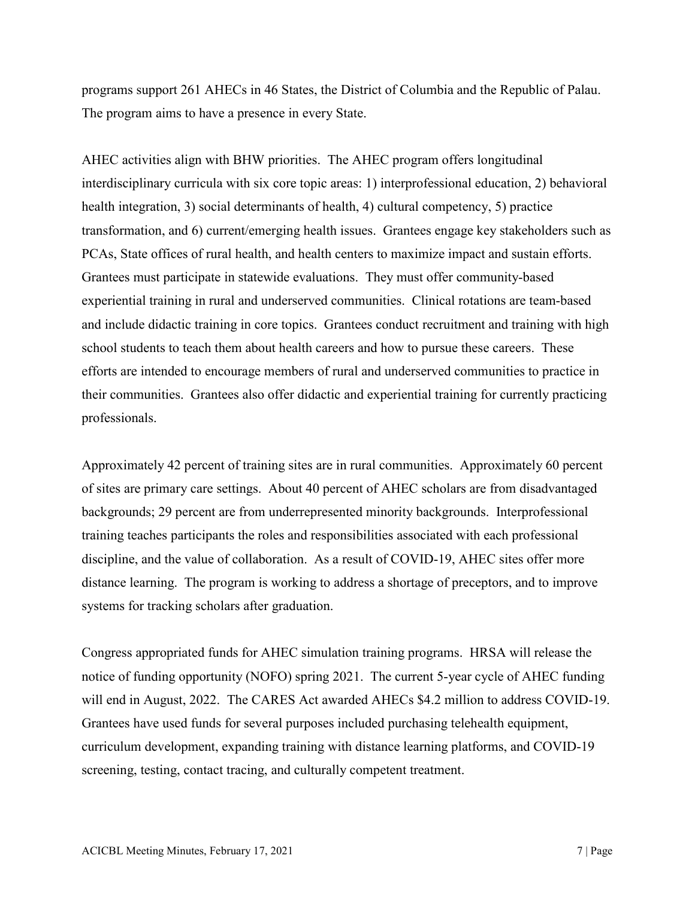programs support 261 AHECs in 46 States, the District of Columbia and the Republic of Palau. The program aims to have a presence in every State.

AHEC activities align with BHW priorities. The AHEC program offers longitudinal interdisciplinary curricula with six core topic areas: 1) interprofessional education, 2) behavioral health integration, 3) social determinants of health, 4) cultural competency, 5) practice transformation, and 6) current/emerging health issues. Grantees engage key stakeholders such as PCAs, State offices of rural health, and health centers to maximize impact and sustain efforts. Grantees must participate in statewide evaluations. They must offer community-based experiential training in rural and underserved communities. Clinical rotations are team-based and include didactic training in core topics. Grantees conduct recruitment and training with high school students to teach them about health careers and how to pursue these careers. These efforts are intended to encourage members of rural and underserved communities to practice in their communities. Grantees also offer didactic and experiential training for currently practicing professionals.

Approximately 42 percent of training sites are in rural communities. Approximately 60 percent of sites are primary care settings. About 40 percent of AHEC scholars are from disadvantaged backgrounds; 29 percent are from underrepresented minority backgrounds. Interprofessional training teaches participants the roles and responsibilities associated with each professional discipline, and the value of collaboration. As a result of COVID-19, AHEC sites offer more distance learning. The program is working to address a shortage of preceptors, and to improve systems for tracking scholars after graduation.

Congress appropriated funds for AHEC simulation training programs. HRSA will release the notice of funding opportunity (NOFO) spring 2021. The current 5-year cycle of AHEC funding will end in August, 2022. The CARES Act awarded AHECs \$4.2 million to address COVID-19. Grantees have used funds for several purposes included purchasing telehealth equipment, curriculum development, expanding training with distance learning platforms, and COVID-19 screening, testing, contact tracing, and culturally competent treatment.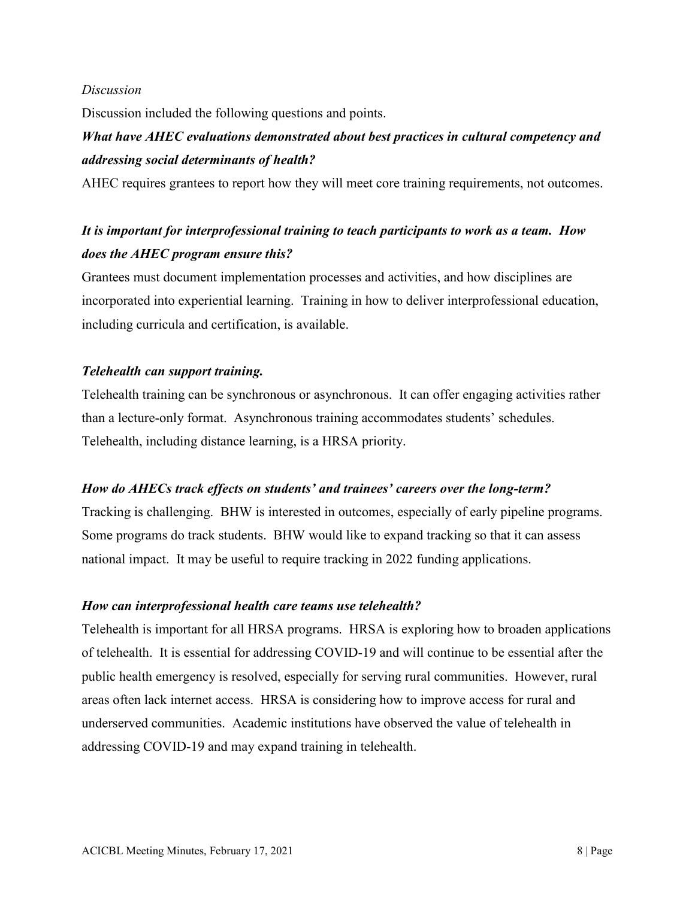#### *Discussion*

Discussion included the following questions and points.

# *What have AHEC evaluations demonstrated about best practices in cultural competency and addressing social determinants of health?*

AHEC requires grantees to report how they will meet core training requirements, not outcomes.

# *It is important for interprofessional training to teach participants to work as a team. How does the AHEC program ensure this?*

Grantees must document implementation processes and activities, and how disciplines are incorporated into experiential learning. Training in how to deliver interprofessional education, including curricula and certification, is available.

### *Telehealth can support training.*

Telehealth training can be synchronous or asynchronous. It can offer engaging activities rather than a lecture-only format. Asynchronous training accommodates students' schedules. Telehealth, including distance learning, is a HRSA priority.

#### *How do AHECs track effects on students' and trainees' careers over the long-term?*

Tracking is challenging. BHW is interested in outcomes, especially of early pipeline programs. Some programs do track students. BHW would like to expand tracking so that it can assess national impact. It may be useful to require tracking in 2022 funding applications.

#### *How can interprofessional health care teams use telehealth?*

Telehealth is important for all HRSA programs. HRSA is exploring how to broaden applications of telehealth. It is essential for addressing COVID-19 and will continue to be essential after the public health emergency is resolved, especially for serving rural communities. However, rural areas often lack internet access. HRSA is considering how to improve access for rural and underserved communities. Academic institutions have observed the value of telehealth in addressing COVID-19 and may expand training in telehealth.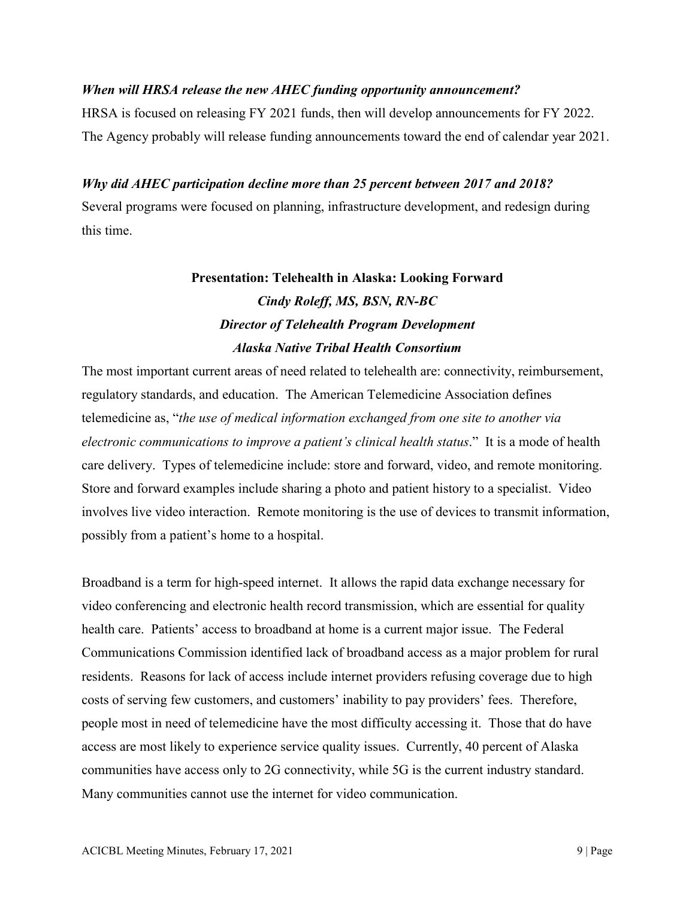### *When will HRSA release the new AHEC funding opportunity announcement?*

HRSA is focused on releasing FY 2021 funds, then will develop announcements for FY 2022. The Agency probably will release funding announcements toward the end of calendar year 2021.

### *Why did AHEC participation decline more than 25 percent between 2017 and 2018?*

Several programs were focused on planning, infrastructure development, and redesign during this time.

# **Presentation: Telehealth in Alaska: Looking Forward**  *Cindy Roleff, MS, BSN, RN-BC Director of Telehealth Program Development Alaska Native Tribal Health Consortium*

The most important current areas of need related to telehealth are: connectivity, reimbursement, regulatory standards, and education. The American Telemedicine Association defines telemedicine as, "*the use of medical information exchanged from one site to another via electronic communications to improve a patient's clinical health status*." It is a mode of health care delivery. Types of telemedicine include: store and forward, video, and remote monitoring. Store and forward examples include sharing a photo and patient history to a specialist. Video involves live video interaction. Remote monitoring is the use of devices to transmit information, possibly from a patient's home to a hospital.

Broadband is a term for high-speed internet. It allows the rapid data exchange necessary for video conferencing and electronic health record transmission, which are essential for quality health care. Patients' access to broadband at home is a current major issue. The Federal Communications Commission identified lack of broadband access as a major problem for rural residents. Reasons for lack of access include internet providers refusing coverage due to high costs of serving few customers, and customers' inability to pay providers' fees. Therefore, people most in need of telemedicine have the most difficulty accessing it. Those that do have access are most likely to experience service quality issues. Currently, 40 percent of Alaska communities have access only to 2G connectivity, while 5G is the current industry standard. Many communities cannot use the internet for video communication.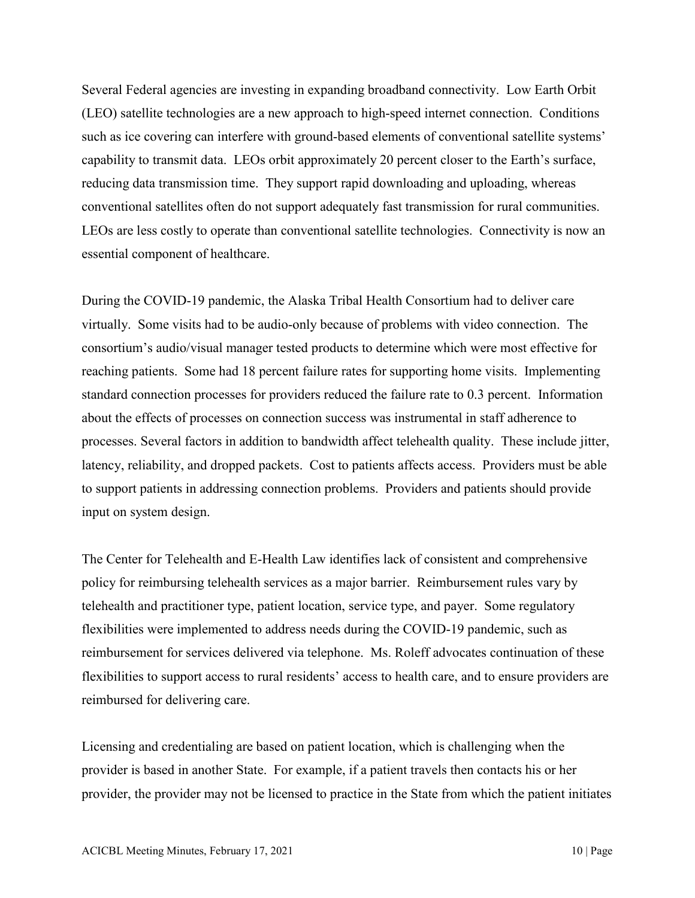Several Federal agencies are investing in expanding broadband connectivity. Low Earth Orbit (LEO) satellite technologies are a new approach to high-speed internet connection. Conditions such as ice covering can interfere with ground-based elements of conventional satellite systems' capability to transmit data. LEOs orbit approximately 20 percent closer to the Earth's surface, reducing data transmission time. They support rapid downloading and uploading, whereas conventional satellites often do not support adequately fast transmission for rural communities. LEOs are less costly to operate than conventional satellite technologies. Connectivity is now an essential component of healthcare.

During the COVID-19 pandemic, the Alaska Tribal Health Consortium had to deliver care virtually. Some visits had to be audio-only because of problems with video connection. The consortium's audio/visual manager tested products to determine which were most effective for reaching patients. Some had 18 percent failure rates for supporting home visits. Implementing standard connection processes for providers reduced the failure rate to 0.3 percent. Information about the effects of processes on connection success was instrumental in staff adherence to processes. Several factors in addition to bandwidth affect telehealth quality. These include jitter, latency, reliability, and dropped packets. Cost to patients affects access. Providers must be able to support patients in addressing connection problems. Providers and patients should provide input on system design.

The Center for Telehealth and E-Health Law identifies lack of consistent and comprehensive policy for reimbursing telehealth services as a major barrier. Reimbursement rules vary by telehealth and practitioner type, patient location, service type, and payer. Some regulatory flexibilities were implemented to address needs during the COVID-19 pandemic, such as reimbursement for services delivered via telephone. Ms. Roleff advocates continuation of these flexibilities to support access to rural residents' access to health care, and to ensure providers are reimbursed for delivering care.

Licensing and credentialing are based on patient location, which is challenging when the provider is based in another State. For example, if a patient travels then contacts his or her provider, the provider may not be licensed to practice in the State from which the patient initiates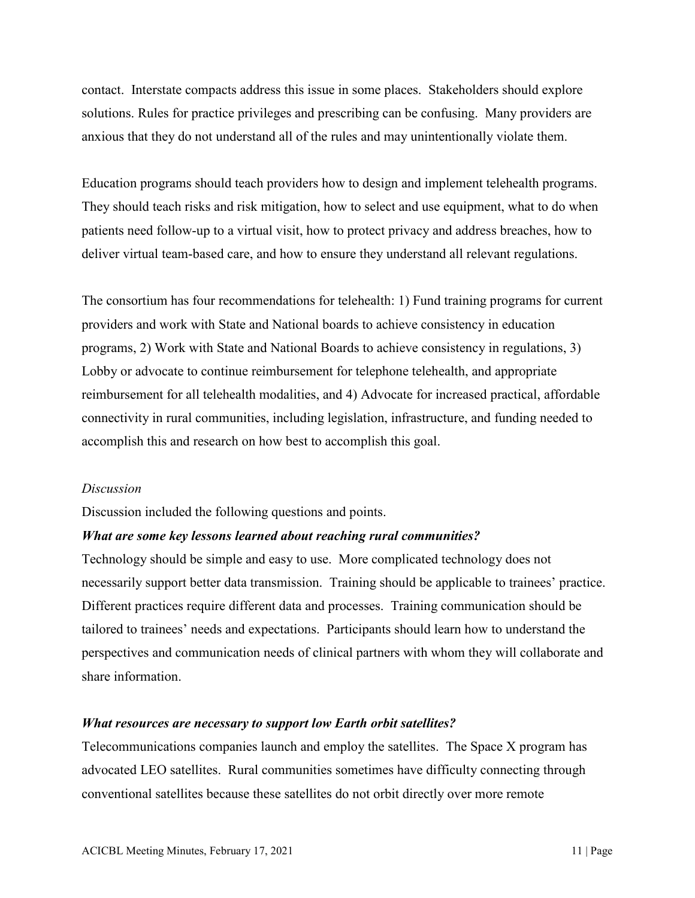contact. Interstate compacts address this issue in some places. Stakeholders should explore solutions. Rules for practice privileges and prescribing can be confusing. Many providers are anxious that they do not understand all of the rules and may unintentionally violate them.

Education programs should teach providers how to design and implement telehealth programs. They should teach risks and risk mitigation, how to select and use equipment, what to do when patients need follow-up to a virtual visit, how to protect privacy and address breaches, how to deliver virtual team-based care, and how to ensure they understand all relevant regulations.

The consortium has four recommendations for telehealth: 1) Fund training programs for current providers and work with State and National boards to achieve consistency in education programs, 2) Work with State and National Boards to achieve consistency in regulations, 3) Lobby or advocate to continue reimbursement for telephone telehealth, and appropriate reimbursement for all telehealth modalities, and 4) Advocate for increased practical, affordable connectivity in rural communities, including legislation, infrastructure, and funding needed to accomplish this and research on how best to accomplish this goal.

#### *Discussion*

Discussion included the following questions and points.

#### *What are some key lessons learned about reaching rural communities?*

Technology should be simple and easy to use. More complicated technology does not necessarily support better data transmission. Training should be applicable to trainees' practice. Different practices require different data and processes. Training communication should be tailored to trainees' needs and expectations. Participants should learn how to understand the perspectives and communication needs of clinical partners with whom they will collaborate and share information.

#### *What resources are necessary to support low Earth orbit satellites?*

Telecommunications companies launch and employ the satellites. The Space X program has advocated LEO satellites. Rural communities sometimes have difficulty connecting through conventional satellites because these satellites do not orbit directly over more remote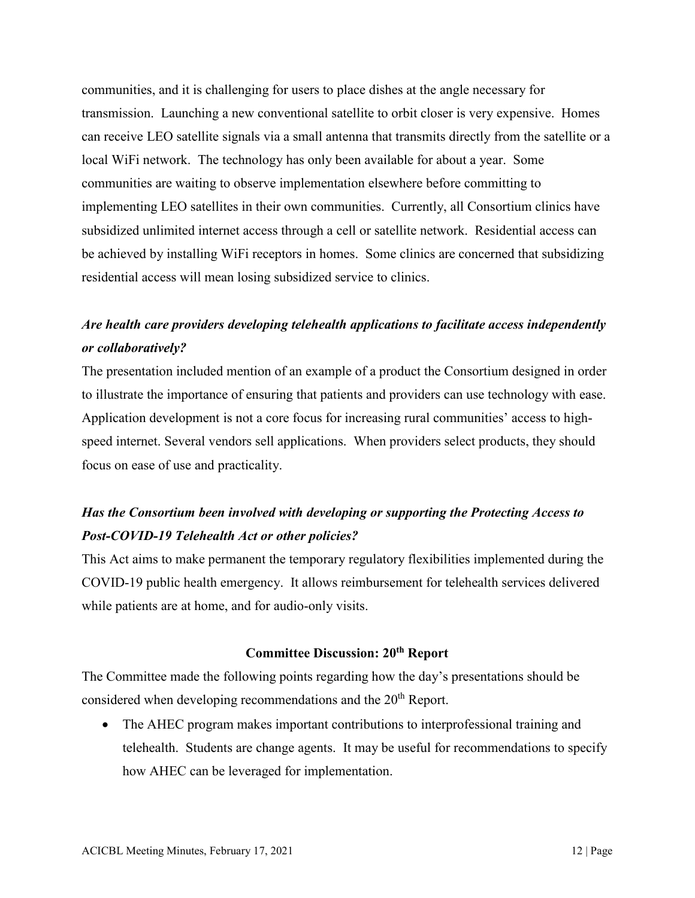communities, and it is challenging for users to place dishes at the angle necessary for transmission. Launching a new conventional satellite to orbit closer is very expensive. Homes can receive LEO satellite signals via a small antenna that transmits directly from the satellite or a local WiFi network. The technology has only been available for about a year. Some communities are waiting to observe implementation elsewhere before committing to implementing LEO satellites in their own communities. Currently, all Consortium clinics have subsidized unlimited internet access through a cell or satellite network. Residential access can be achieved by installing WiFi receptors in homes. Some clinics are concerned that subsidizing residential access will mean losing subsidized service to clinics.

# *Are health care providers developing telehealth applications to facilitate access independently or collaboratively?*

The presentation included mention of an example of a product the Consortium designed in order to illustrate the importance of ensuring that patients and providers can use technology with ease. Application development is not a core focus for increasing rural communities' access to highspeed internet. Several vendors sell applications. When providers select products, they should focus on ease of use and practicality.

# *Has the Consortium been involved with developing or supporting the Protecting Access to Post-COVID-19 Telehealth Act or other policies?*

This Act aims to make permanent the temporary regulatory flexibilities implemented during the COVID-19 public health emergency. It allows reimbursement for telehealth services delivered while patients are at home, and for audio-only visits.

#### **Committee Discussion: 20th Report**

The Committee made the following points regarding how the day's presentations should be considered when developing recommendations and the 20<sup>th</sup> Report.

• The AHEC program makes important contributions to interprofessional training and telehealth. Students are change agents. It may be useful for recommendations to specify how AHEC can be leveraged for implementation.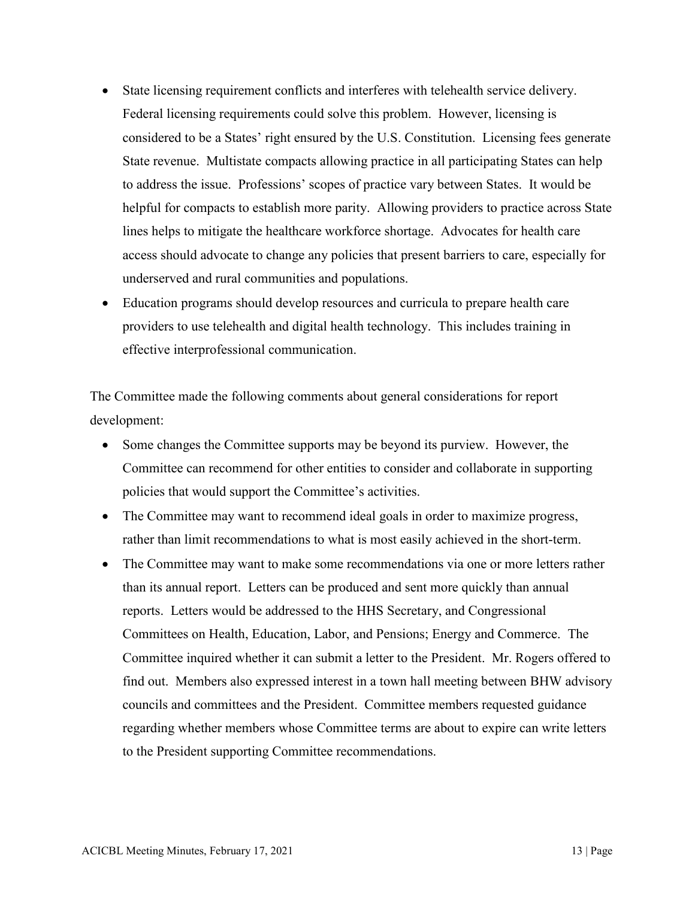- State licensing requirement conflicts and interferes with telehealth service delivery. Federal licensing requirements could solve this problem. However, licensing is considered to be a States' right ensured by the U.S. Constitution. Licensing fees generate State revenue. Multistate compacts allowing practice in all participating States can help to address the issue. Professions' scopes of practice vary between States. It would be helpful for compacts to establish more parity. Allowing providers to practice across State lines helps to mitigate the healthcare workforce shortage. Advocates for health care access should advocate to change any policies that present barriers to care, especially for underserved and rural communities and populations.
- Education programs should develop resources and curricula to prepare health care providers to use telehealth and digital health technology. This includes training in effective interprofessional communication.

The Committee made the following comments about general considerations for report development:

- Some changes the Committee supports may be beyond its purview. However, the Committee can recommend for other entities to consider and collaborate in supporting policies that would support the Committee's activities.
- The Committee may want to recommend ideal goals in order to maximize progress, rather than limit recommendations to what is most easily achieved in the short-term.
- The Committee may want to make some recommendations via one or more letters rather than its annual report. Letters can be produced and sent more quickly than annual reports. Letters would be addressed to the HHS Secretary, and Congressional Committees on Health, Education, Labor, and Pensions; Energy and Commerce. The Committee inquired whether it can submit a letter to the President. Mr. Rogers offered to find out. Members also expressed interest in a town hall meeting between BHW advisory councils and committees and the President. Committee members requested guidance regarding whether members whose Committee terms are about to expire can write letters to the President supporting Committee recommendations.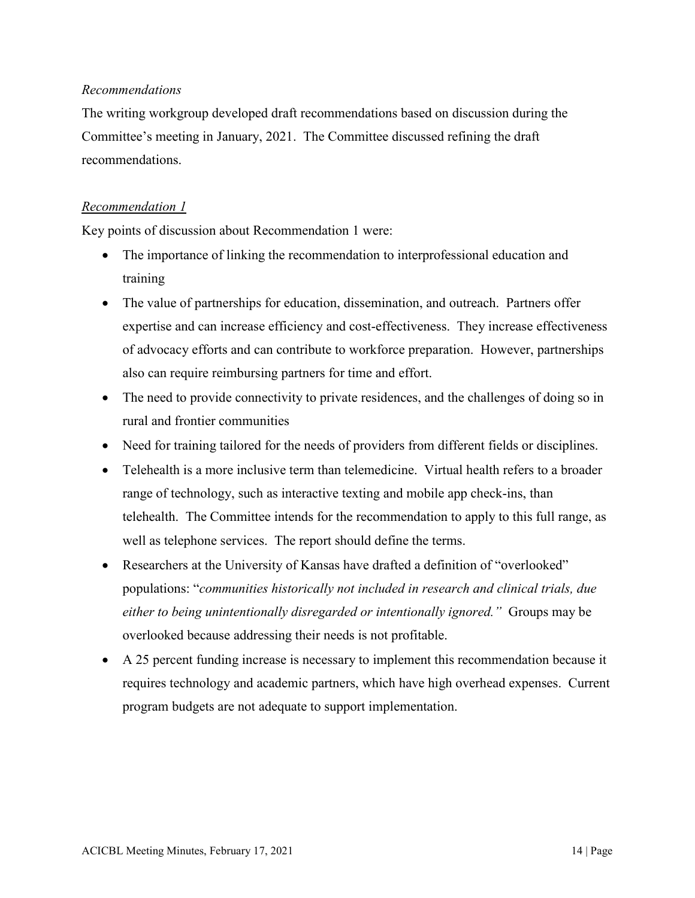### *Recommendations*

The writing workgroup developed draft recommendations based on discussion during the Committee's meeting in January, 2021. The Committee discussed refining the draft recommendations.

### *Recommendation 1*

Key points of discussion about Recommendation 1 were:

- The importance of linking the recommendation to interprofessional education and training
- The value of partnerships for education, dissemination, and outreach. Partners offer expertise and can increase efficiency and cost-effectiveness. They increase effectiveness of advocacy efforts and can contribute to workforce preparation. However, partnerships also can require reimbursing partners for time and effort.
- The need to provide connectivity to private residences, and the challenges of doing so in rural and frontier communities
- Need for training tailored for the needs of providers from different fields or disciplines.
- Telehealth is a more inclusive term than telemedicine. Virtual health refers to a broader range of technology, such as interactive texting and mobile app check-ins, than telehealth. The Committee intends for the recommendation to apply to this full range, as well as telephone services. The report should define the terms.
- Researchers at the University of Kansas have drafted a definition of "overlooked" populations: "*communities historically not included in research and clinical trials, due either to being unintentionally disregarded or intentionally ignored."* Groups may be overlooked because addressing their needs is not profitable.
- A 25 percent funding increase is necessary to implement this recommendation because it requires technology and academic partners, which have high overhead expenses. Current program budgets are not adequate to support implementation.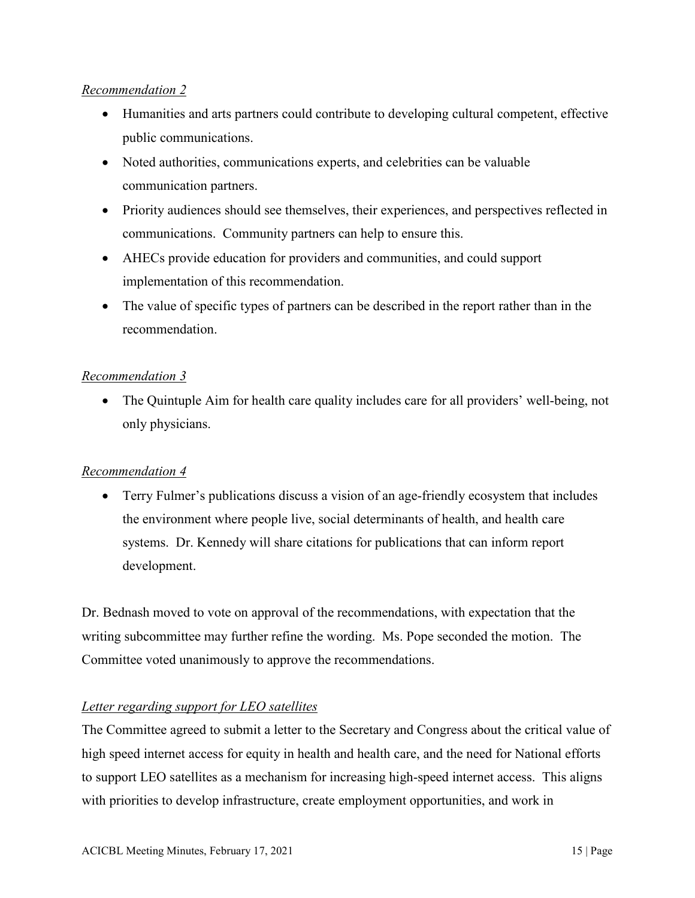### *Recommendation 2*

- Humanities and arts partners could contribute to developing cultural competent, effective public communications.
- Noted authorities, communications experts, and celebrities can be valuable communication partners.
- Priority audiences should see themselves, their experiences, and perspectives reflected in communications. Community partners can help to ensure this.
- AHECs provide education for providers and communities, and could support implementation of this recommendation.
- The value of specific types of partners can be described in the report rather than in the recommendation.

### *Recommendation 3*

• The Quintuple Aim for health care quality includes care for all providers' well-being, not only physicians.

### *Recommendation 4*

• Terry Fulmer's publications discuss a vision of an age-friendly ecosystem that includes the environment where people live, social determinants of health, and health care systems. Dr. Kennedy will share citations for publications that can inform report development.

Dr. Bednash moved to vote on approval of the recommendations, with expectation that the writing subcommittee may further refine the wording. Ms. Pope seconded the motion. The Committee voted unanimously to approve the recommendations.

### *Letter regarding support for LEO satellites*

The Committee agreed to submit a letter to the Secretary and Congress about the critical value of high speed internet access for equity in health and health care, and the need for National efforts to support LEO satellites as a mechanism for increasing high-speed internet access. This aligns with priorities to develop infrastructure, create employment opportunities, and work in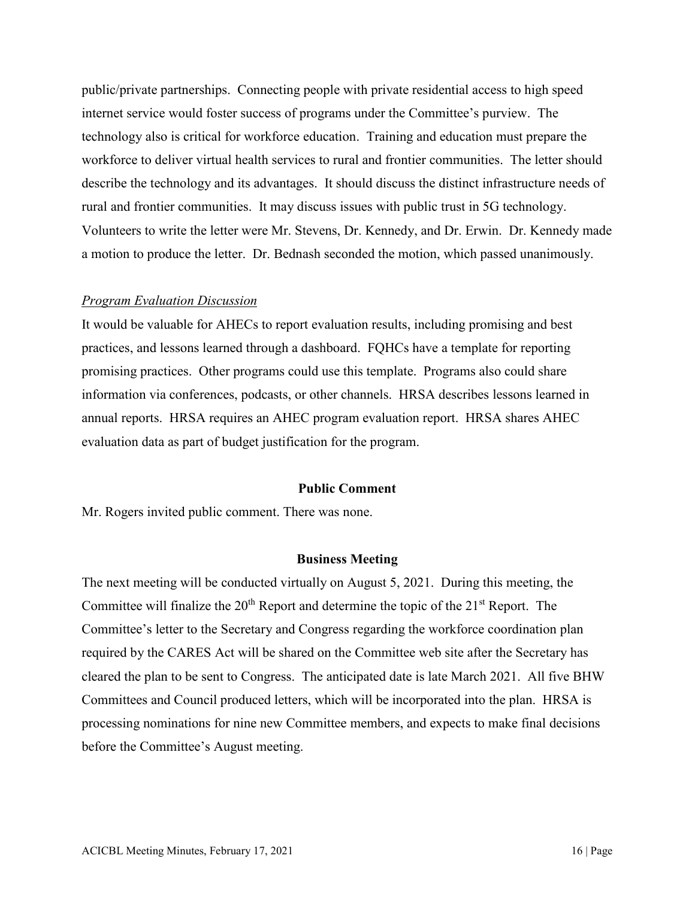public/private partnerships. Connecting people with private residential access to high speed internet service would foster success of programs under the Committee's purview. The technology also is critical for workforce education. Training and education must prepare the workforce to deliver virtual health services to rural and frontier communities. The letter should describe the technology and its advantages. It should discuss the distinct infrastructure needs of rural and frontier communities. It may discuss issues with public trust in 5G technology. Volunteers to write the letter were Mr. Stevens, Dr. Kennedy, and Dr. Erwin. Dr. Kennedy made a motion to produce the letter. Dr. Bednash seconded the motion, which passed unanimously.

#### *Program Evaluation Discussion*

It would be valuable for AHECs to report evaluation results, including promising and best practices, and lessons learned through a dashboard. FQHCs have a template for reporting promising practices. Other programs could use this template. Programs also could share information via conferences, podcasts, or other channels. HRSA describes lessons learned in annual reports. HRSA requires an AHEC program evaluation report. HRSA shares AHEC evaluation data as part of budget justification for the program.

#### **Public Comment**

Mr. Rogers invited public comment. There was none.

#### **Business Meeting**

The next meeting will be conducted virtually on August 5, 2021. During this meeting, the Committee will finalize the  $20<sup>th</sup>$  Report and determine the topic of the  $21<sup>st</sup>$  Report. The Committee's letter to the Secretary and Congress regarding the workforce coordination plan required by the CARES Act will be shared on the Committee web site after the Secretary has cleared the plan to be sent to Congress. The anticipated date is late March 2021. All five BHW Committees and Council produced letters, which will be incorporated into the plan. HRSA is processing nominations for nine new Committee members, and expects to make final decisions before the Committee's August meeting.